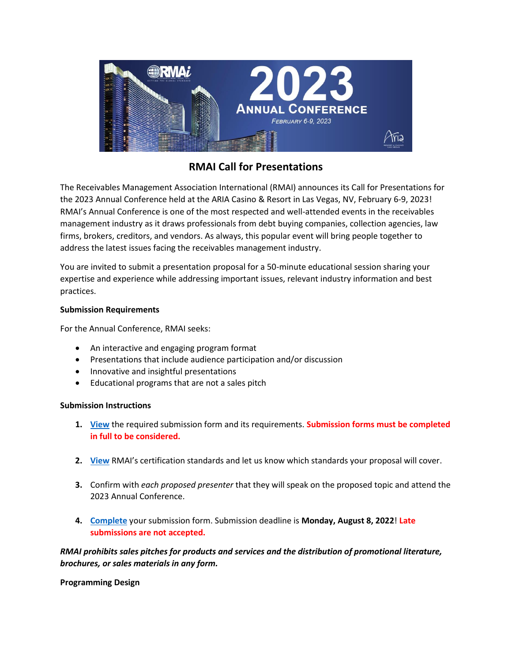

# **RMAI Call for Presentations**

The Receivables Management Association International (RMAI) announces its Call for Presentations for the 2023 Annual Conference held at the ARIA Casino & Resort in Las Vegas, NV, February 6-9, 2023! RMAI's Annual Conference is one of the most respected and well-attended events in the receivables management industry as it draws professionals from debt buying companies, collection agencies, law firms, brokers, creditors, and vendors. As always, this popular event will bring people together to address the latest issues facing the receivables management industry.

You are invited to submit a presentation proposal for a 50-minute educational session sharing your expertise and experience while addressing important issues, relevant industry information and best practices.

# **Submission Requirements**

For the Annual Conference, RMAI seeks:

- An interactive and engaging program format
- Presentations that include audience participation and/or discussion
- Innovative and insightful presentations
- Educational programs that are not a sales pitch

# **Submission Instructions**

- **1. [View](https://cookies.rmaintl.org/uploads/2022/05/Submission-Form-PDF-DRAFT-5-24-22.pdf)** the required submission form and its requirements. **Submission forms must be completed in full to be considered.**
- **2. [View](https://cookies.rmaintl.org/uploads/2022/03/RMAI-Certification-Fact-Sheet-v10.0-20220304.pdfhttps:/cookies.rmaintl.org/uploads/2022/03/RMAI-Certification-Fact-Sheet-v10.0-20220304.pdf)** RMAI's certification standards and let us know which standards your proposal will cover.
- **3.** Confirm with *each proposed presenter* that they will speak on the proposed topic and attend the 2023 Annual Conference.
- **4. [Complete](https://www.surveymonkey.com/r/7NXNTVS)** your submission form. Submission deadline is **Monday, August 8, 2022**! **Late submissions are not accepted.**

*RMAI prohibits sales pitches for products and services and the distribution of promotional literature, brochures, or sales materials in any form.* 

**Programming Design**